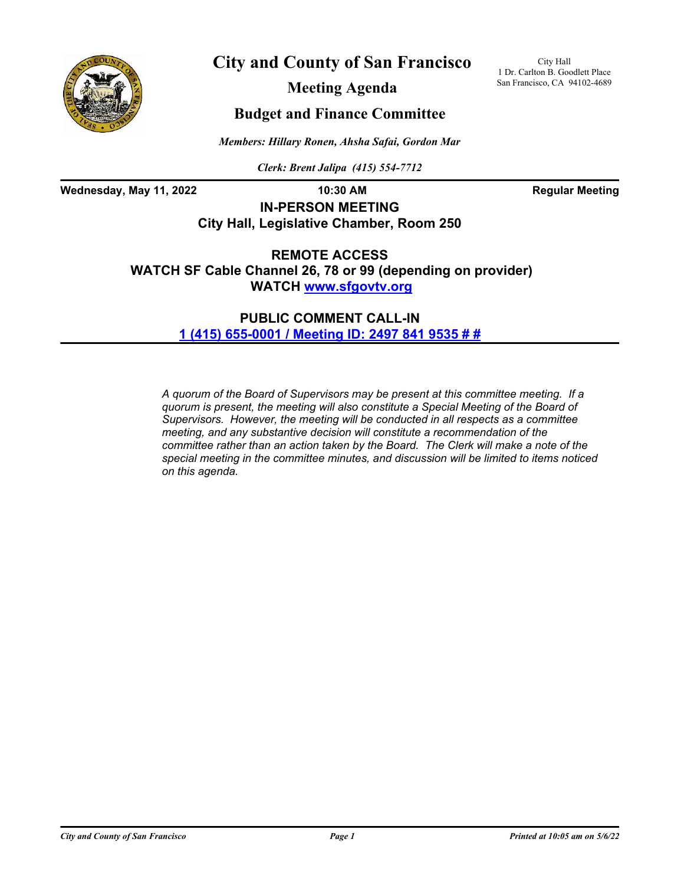

**City and County of San Francisco**

City Hall 1 Dr. Carlton B. Goodlett Place San Francisco, CA 94102-4689

**Meeting Agenda**

## **Budget and Finance Committee**

*Members: Hillary Ronen, Ahsha Safai, Gordon Mar*

*Clerk: Brent Jalipa (415) 554-7712*

Wednesday, May 11, 2022 **10:30 AM Regular Meeting** 

**IN-PERSON MEETING City Hall, Legislative Chamber, Room 250**

**REMOTE ACCESS WATCH SF Cable Channel 26, 78 or 99 (depending on provider) WATCH <www.sfgovtv.org>**

> **PUBLIC COMMENT CALL-IN [1 \(415\) 655-0001 / Meeting ID: 2497 841 9535 # #](tel:+14156550001,,24978419535#,,#)**

*A quorum of the Board of Supervisors may be present at this committee meeting. If a quorum is present, the meeting will also constitute a Special Meeting of the Board of Supervisors. However, the meeting will be conducted in all respects as a committee meeting, and any substantive decision will constitute a recommendation of the committee rather than an action taken by the Board. The Clerk will make a note of the special meeting in the committee minutes, and discussion will be limited to items noticed on this agenda.*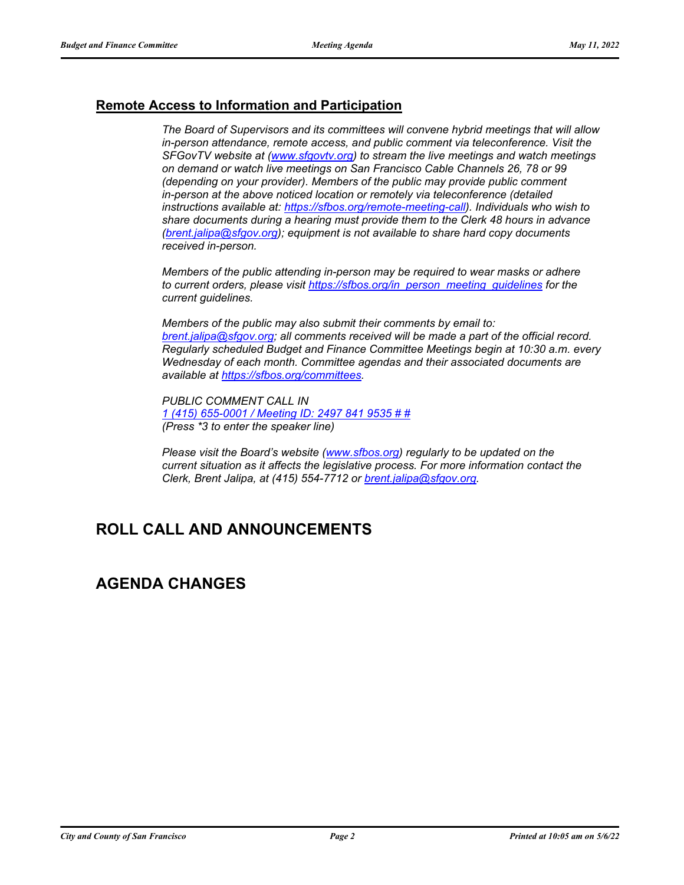## **Remote Access to Information and Participation**

*The Board of Supervisors and its committees will convene hybrid meetings that will allow in-person attendance, remote access, and public comment via teleconference. Visit the SFGovTV website at [\(www.sfgovtv.org\)](www.sfgovtv.org) to stream the live meetings and watch meetings on demand or watch live meetings on San Francisco Cable Channels 26, 78 or 99 (depending on your provider). Members of the public may provide public comment in-person at the above noticed location or remotely via teleconference (detailed instructions available at: [https://sfbos.org/remote-meeting-call\)](https://sfbos.org/remote-meeting-call). Individuals who wish to share documents during a hearing must provide them to the Clerk 48 hours in advance [\(brent.jalipa@sfgov.org\);](mailto:brent.jalipa@sfgov.org) equipment is not available to share hard copy documents received in-person.*

*Members of the public attending in-person may be required to wear masks or adhere to current orders, please visit [https://sfbos.org/in\\_person\\_meeting\\_guidelines](https://sfbos.org/in_person_meeting_guidelines) for the current guidelines.*

*Members of the public may also submit their comments by email to: [brent.jalipa@sfgov.org;](mailto:brent.jalipa@sfgov.org) all comments received will be made a part of the official record. Regularly scheduled Budget and Finance Committee Meetings begin at 10:30 a.m. every Wednesday of each month. Committee agendas and their associated documents are available at [https://sfbos.org/committees.](https://sfbos.org/committees)*

*PUBLIC COMMENT CALL IN [1 \(415\) 655-0001 / Meeting ID: 2497 841 9535 # #](tel:+14156550001,,24978419535#,,#) (Press \*3 to enter the speaker line)*

*Please visit the Board's website [\(www.sfbos.org\)](www.sfbos.org) regularly to be updated on the current situation as it affects the legislative process. For more information contact the Clerk, Brent Jalipa, at (415) 554-7712 or [brent.jalipa@sfgov.org.](mailto:brent.jalipa@sfgov.org)*

# **ROLL CALL AND ANNOUNCEMENTS**

## **AGENDA CHANGES**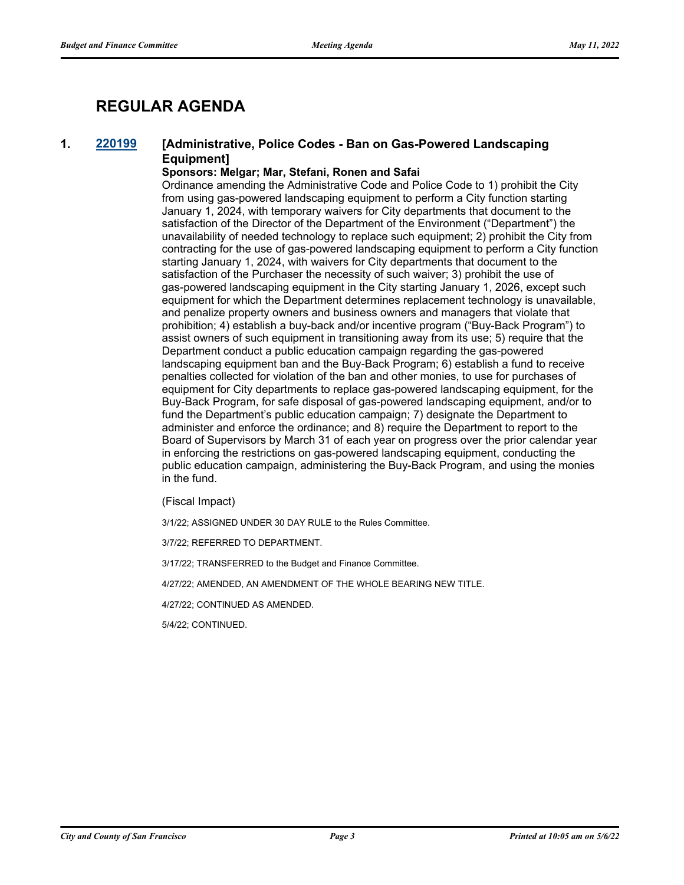# **REGULAR AGENDA**

## **1. [220199](http://sfgov.legistar.com/gateway.aspx?m=l&id=38394) [Administrative, Police Codes - Ban on Gas-Powered Landscaping Equipment]**

### **Sponsors: Melgar; Mar, Stefani, Ronen and Safai**

Ordinance amending the Administrative Code and Police Code to 1) prohibit the City from using gas-powered landscaping equipment to perform a City function starting January 1, 2024, with temporary waivers for City departments that document to the satisfaction of the Director of the Department of the Environment ("Department") the unavailability of needed technology to replace such equipment; 2) prohibit the City from contracting for the use of gas-powered landscaping equipment to perform a City function starting January 1, 2024, with waivers for City departments that document to the satisfaction of the Purchaser the necessity of such waiver; 3) prohibit the use of gas-powered landscaping equipment in the City starting January 1, 2026, except such equipment for which the Department determines replacement technology is unavailable, and penalize property owners and business owners and managers that violate that prohibition; 4) establish a buy-back and/or incentive program ("Buy-Back Program") to assist owners of such equipment in transitioning away from its use; 5) require that the Department conduct a public education campaign regarding the gas-powered landscaping equipment ban and the Buy-Back Program; 6) establish a fund to receive penalties collected for violation of the ban and other monies, to use for purchases of equipment for City departments to replace gas-powered landscaping equipment, for the Buy-Back Program, for safe disposal of gas-powered landscaping equipment, and/or to fund the Department's public education campaign; 7) designate the Department to administer and enforce the ordinance; and 8) require the Department to report to the Board of Supervisors by March 31 of each year on progress over the prior calendar year in enforcing the restrictions on gas-powered landscaping equipment, conducting the public education campaign, administering the Buy-Back Program, and using the monies in the fund.

#### (Fiscal Impact)

3/1/22; ASSIGNED UNDER 30 DAY RULE to the Rules Committee.

3/7/22; REFERRED TO DEPARTMENT.

3/17/22; TRANSFERRED to the Budget and Finance Committee.

4/27/22; AMENDED, AN AMENDMENT OF THE WHOLE BEARING NEW TITLE.

4/27/22; CONTINUED AS AMENDED.

5/4/22; CONTINUED.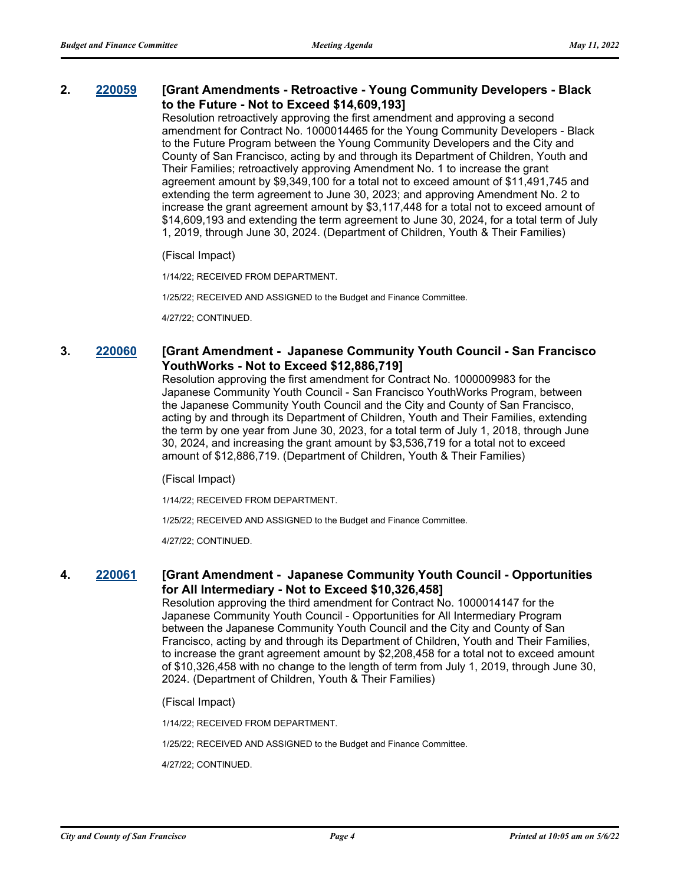### **2. [220059](http://sfgov.legistar.com/gateway.aspx?m=l&id=38254) [Grant Amendments - Retroactive - Young Community Developers - Black to the Future - Not to Exceed \$14,609,193]**

Resolution retroactively approving the first amendment and approving a second amendment for Contract No. 1000014465 for the Young Community Developers - Black to the Future Program between the Young Community Developers and the City and County of San Francisco, acting by and through its Department of Children, Youth and Their Families; retroactively approving Amendment No. 1 to increase the grant agreement amount by \$9,349,100 for a total not to exceed amount of \$11,491,745 and extending the term agreement to June 30, 2023; and approving Amendment No. 2 to increase the grant agreement amount by \$3,117,448 for a total not to exceed amount of \$14,609,193 and extending the term agreement to June 30, 2024, for a total term of July 1, 2019, through June 30, 2024. (Department of Children, Youth & Their Families)

(Fiscal Impact)

1/14/22; RECEIVED FROM DEPARTMENT.

1/25/22; RECEIVED AND ASSIGNED to the Budget and Finance Committee.

4/27/22; CONTINUED.

### **3. [220060](http://sfgov.legistar.com/gateway.aspx?m=l&id=38255) [Grant Amendment - Japanese Community Youth Council - San Francisco YouthWorks - Not to Exceed \$12,886,719]**

Resolution approving the first amendment for Contract No. 1000009983 for the Japanese Community Youth Council - San Francisco YouthWorks Program, between the Japanese Community Youth Council and the City and County of San Francisco, acting by and through its Department of Children, Youth and Their Families, extending the term by one year from June 30, 2023, for a total term of July 1, 2018, through June 30, 2024, and increasing the grant amount by \$3,536,719 for a total not to exceed amount of \$12,886,719. (Department of Children, Youth & Their Families)

(Fiscal Impact)

1/14/22; RECEIVED FROM DEPARTMENT.

1/25/22; RECEIVED AND ASSIGNED to the Budget and Finance Committee.

4/27/22; CONTINUED.

### **4. [220061](http://sfgov.legistar.com/gateway.aspx?m=l&id=38256) [Grant Amendment - Japanese Community Youth Council - Opportunities for All Intermediary - Not to Exceed \$10,326,458]**

Resolution approving the third amendment for Contract No. 1000014147 for the Japanese Community Youth Council - Opportunities for All Intermediary Program between the Japanese Community Youth Council and the City and County of San Francisco, acting by and through its Department of Children, Youth and Their Families, to increase the grant agreement amount by \$2,208,458 for a total not to exceed amount of \$10,326,458 with no change to the length of term from July 1, 2019, through June 30, 2024. (Department of Children, Youth & Their Families)

(Fiscal Impact)

1/14/22; RECEIVED FROM DEPARTMENT.

1/25/22; RECEIVED AND ASSIGNED to the Budget and Finance Committee.

4/27/22; CONTINUED.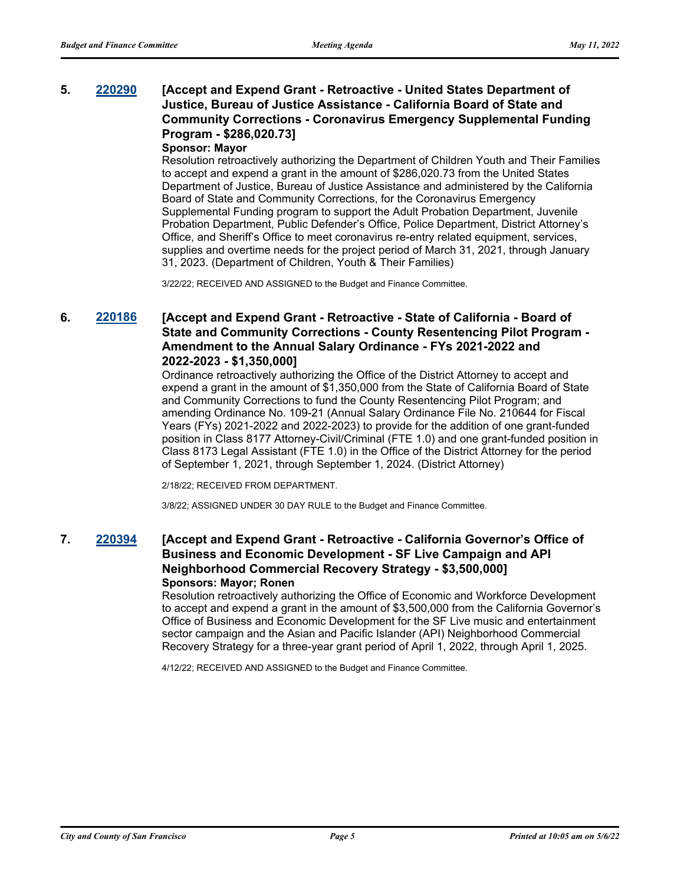## **5. [220290](http://sfgov.legistar.com/gateway.aspx?m=l&id=38482) [Accept and Expend Grant - Retroactive - United States Department of Justice, Bureau of Justice Assistance - California Board of State and Community Corrections - Coronavirus Emergency Supplemental Funding Program - \$286,020.73]**

### **Sponsor: Mayor**

Resolution retroactively authorizing the Department of Children Youth and Their Families to accept and expend a grant in the amount of \$286,020.73 from the United States Department of Justice, Bureau of Justice Assistance and administered by the California Board of State and Community Corrections, for the Coronavirus Emergency Supplemental Funding program to support the Adult Probation Department, Juvenile Probation Department, Public Defender's Office, Police Department, District Attorney's Office, and Sheriff's Office to meet coronavirus re-entry related equipment, services, supplies and overtime needs for the project period of March 31, 2021, through January 31, 2023. (Department of Children, Youth & Their Families)

3/22/22; RECEIVED AND ASSIGNED to the Budget and Finance Committee.

## **6. [220186](http://sfgov.legistar.com/gateway.aspx?m=l&id=38381) [Accept and Expend Grant - Retroactive - State of California - Board of State and Community Corrections - County Resentencing Pilot Program - Amendment to the Annual Salary Ordinance - FYs 2021-2022 and 2022-2023 - \$1,350,000]**

Ordinance retroactively authorizing the Office of the District Attorney to accept and expend a grant in the amount of \$1,350,000 from the State of California Board of State and Community Corrections to fund the County Resentencing Pilot Program; and amending Ordinance No. 109-21 (Annual Salary Ordinance File No. 210644 for Fiscal Years (FYs) 2021-2022 and 2022-2023) to provide for the addition of one grant-funded position in Class 8177 Attorney-Civil/Criminal (FTE 1.0) and one grant-funded position in Class 8173 Legal Assistant (FTE 1.0) in the Office of the District Attorney for the period of September 1, 2021, through September 1, 2024. (District Attorney)

2/18/22; RECEIVED FROM DEPARTMENT.

3/8/22; ASSIGNED UNDER 30 DAY RULE to the Budget and Finance Committee.

### **7. [220394](http://sfgov.legistar.com/gateway.aspx?m=l&id=38586) [Accept and Expend Grant - Retroactive - California Governor's Office of Business and Economic Development - SF Live Campaign and API Neighborhood Commercial Recovery Strategy - \$3,500,000] Sponsors: Mayor; Ronen**

Resolution retroactively authorizing the Office of Economic and Workforce Development to accept and expend a grant in the amount of \$3,500,000 from the California Governor's Office of Business and Economic Development for the SF Live music and entertainment sector campaign and the Asian and Pacific Islander (API) Neighborhood Commercial Recovery Strategy for a three-year grant period of April 1, 2022, through April 1, 2025.

4/12/22; RECEIVED AND ASSIGNED to the Budget and Finance Committee.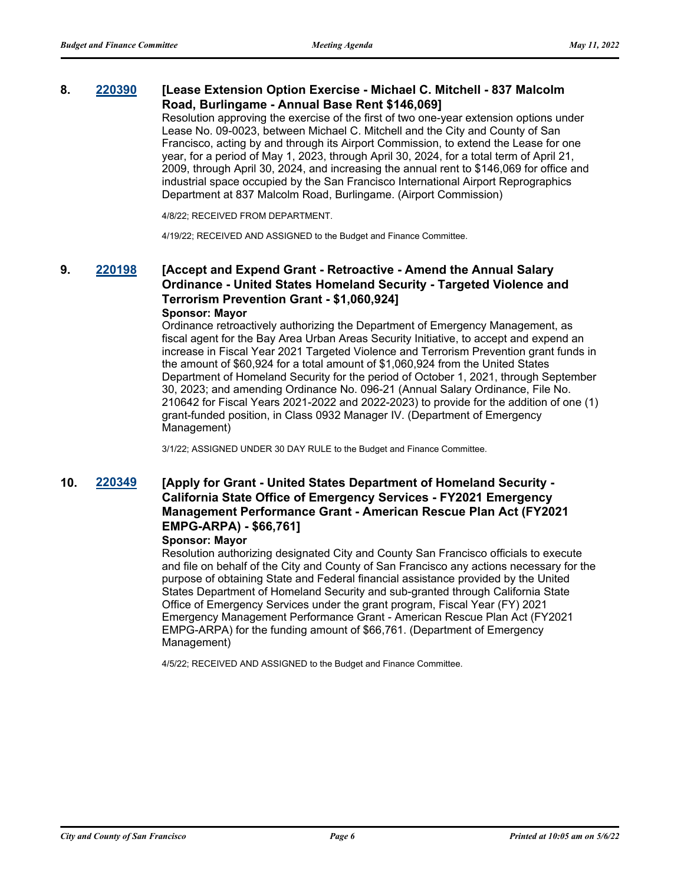### **8. [220390](http://sfgov.legistar.com/gateway.aspx?m=l&id=38582) [Lease Extension Option Exercise - Michael C. Mitchell - 837 Malcolm Road, Burlingame - Annual Base Rent \$146,069]**

Resolution approving the exercise of the first of two one-year extension options under Lease No. 09-0023, between Michael C. Mitchell and the City and County of San Francisco, acting by and through its Airport Commission, to extend the Lease for one year, for a period of May 1, 2023, through April 30, 2024, for a total term of April 21, 2009, through April 30, 2024, and increasing the annual rent to \$146,069 for office and industrial space occupied by the San Francisco International Airport Reprographics Department at 837 Malcolm Road, Burlingame. (Airport Commission)

4/8/22; RECEIVED FROM DEPARTMENT.

4/19/22; RECEIVED AND ASSIGNED to the Budget and Finance Committee.

### **9. [220198](http://sfgov.legistar.com/gateway.aspx?m=l&id=38393) [Accept and Expend Grant - Retroactive - Amend the Annual Salary Ordinance - United States Homeland Security - Targeted Violence and Terrorism Prevention Grant - \$1,060,924] Sponsor: Mayor**

Ordinance retroactively authorizing the Department of Emergency Management, as fiscal agent for the Bay Area Urban Areas Security Initiative, to accept and expend an increase in Fiscal Year 2021 Targeted Violence and Terrorism Prevention grant funds in the amount of \$60,924 for a total amount of \$1,060,924 from the United States Department of Homeland Security for the period of October 1, 2021, through September 30, 2023; and amending Ordinance No. 096-21 (Annual Salary Ordinance, File No. 210642 for Fiscal Years 2021-2022 and 2022-2023) to provide for the addition of one (1) grant-funded position, in Class 0932 Manager IV. (Department of Emergency Management)

3/1/22; ASSIGNED UNDER 30 DAY RULE to the Budget and Finance Committee.

## **10. [220349](http://sfgov.legistar.com/gateway.aspx?m=l&id=38541) [Apply for Grant - United States Department of Homeland Security - California State Office of Emergency Services - FY2021 Emergency Management Performance Grant - American Rescue Plan Act (FY2021 EMPG-ARPA) - \$66,761]**

#### **Sponsor: Mayor**

Resolution authorizing designated City and County San Francisco officials to execute and file on behalf of the City and County of San Francisco any actions necessary for the purpose of obtaining State and Federal financial assistance provided by the United States Department of Homeland Security and sub-granted through California State Office of Emergency Services under the grant program, Fiscal Year (FY) 2021 Emergency Management Performance Grant - American Rescue Plan Act (FY2021 EMPG-ARPA) for the funding amount of \$66,761. (Department of Emergency Management)

4/5/22; RECEIVED AND ASSIGNED to the Budget and Finance Committee.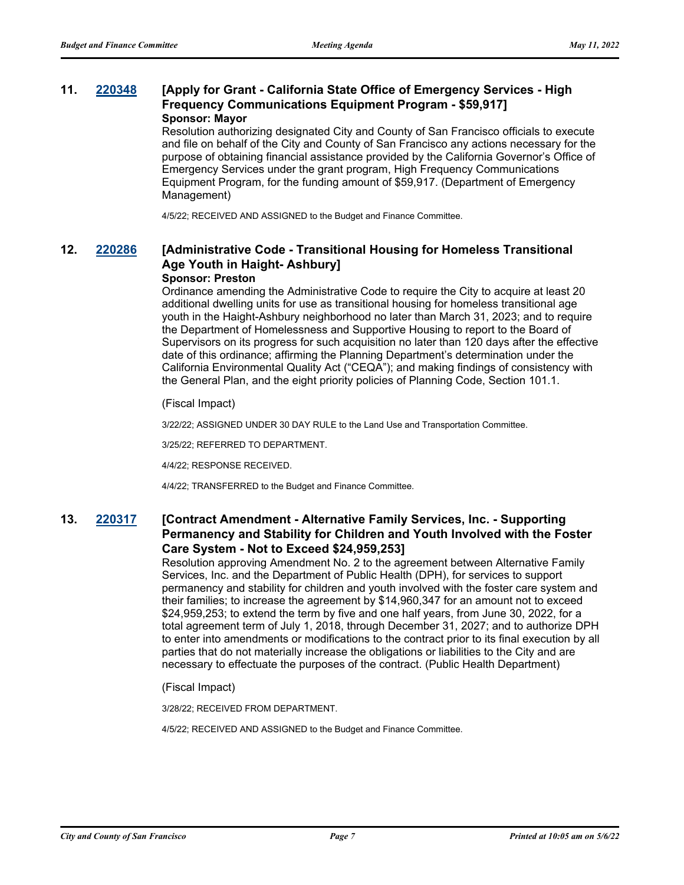## **11. [220348](http://sfgov.legistar.com/gateway.aspx?m=l&id=38540) [Apply for Grant - California State Office of Emergency Services - High Frequency Communications Equipment Program - \$59,917] Sponsor: Mayor**

Resolution authorizing designated City and County of San Francisco officials to execute and file on behalf of the City and County of San Francisco any actions necessary for the purpose of obtaining financial assistance provided by the California Governor's Office of Emergency Services under the grant program, High Frequency Communications Equipment Program, for the funding amount of \$59,917. (Department of Emergency Management)

4/5/22; RECEIVED AND ASSIGNED to the Budget and Finance Committee.

## **12. [220286](http://sfgov.legistar.com/gateway.aspx?m=l&id=38478) [Administrative Code - Transitional Housing for Homeless Transitional Age Youth in Haight- Ashbury]**

#### **Sponsor: Preston**

Ordinance amending the Administrative Code to require the City to acquire at least 20 additional dwelling units for use as transitional housing for homeless transitional age youth in the Haight-Ashbury neighborhood no later than March 31, 2023; and to require the Department of Homelessness and Supportive Housing to report to the Board of Supervisors on its progress for such acquisition no later than 120 days after the effective date of this ordinance; affirming the Planning Department's determination under the California Environmental Quality Act ("CEQA"); and making findings of consistency with the General Plan, and the eight priority policies of Planning Code, Section 101.1.

(Fiscal Impact)

3/22/22; ASSIGNED UNDER 30 DAY RULE to the Land Use and Transportation Committee.

3/25/22; REFERRED TO DEPARTMENT.

4/4/22; RESPONSE RECEIVED.

4/4/22; TRANSFERRED to the Budget and Finance Committee.

### **13. [220317](http://sfgov.legistar.com/gateway.aspx?m=l&id=38509) [Contract Amendment - Alternative Family Services, Inc. - Supporting Permanency and Stability for Children and Youth Involved with the Foster Care System - Not to Exceed \$24,959,253]**

Resolution approving Amendment No. 2 to the agreement between Alternative Family Services, Inc. and the Department of Public Health (DPH), for services to support permanency and stability for children and youth involved with the foster care system and their families; to increase the agreement by \$14,960,347 for an amount not to exceed \$24,959,253; to extend the term by five and one half years, from June 30, 2022, for a total agreement term of July 1, 2018, through December 31, 2027; and to authorize DPH to enter into amendments or modifications to the contract prior to its final execution by all parties that do not materially increase the obligations or liabilities to the City and are necessary to effectuate the purposes of the contract. (Public Health Department)

(Fiscal Impact)

3/28/22; RECEIVED FROM DEPARTMENT.

4/5/22; RECEIVED AND ASSIGNED to the Budget and Finance Committee.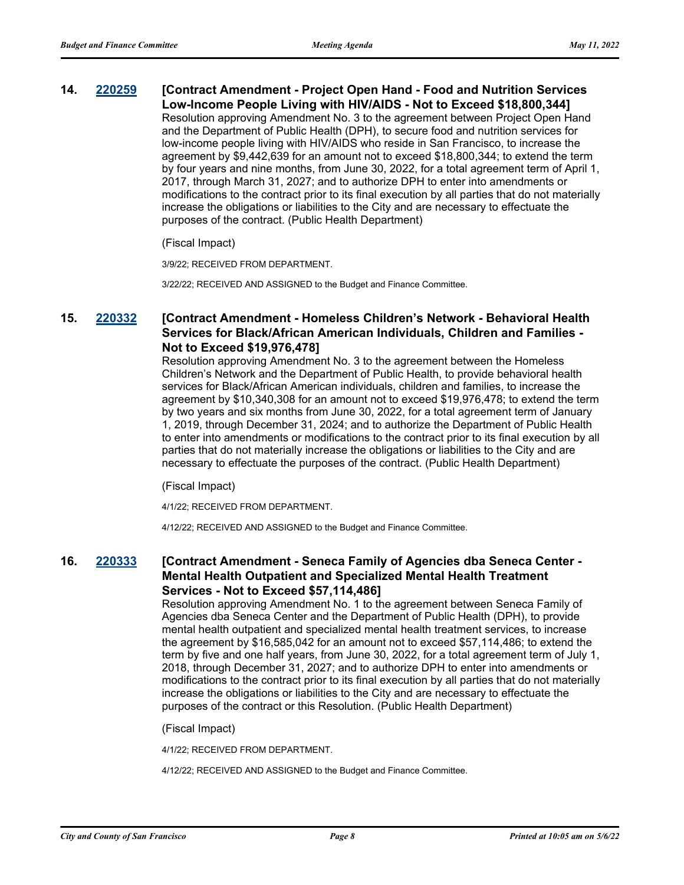### **14. [220259](http://sfgov.legistar.com/gateway.aspx?m=l&id=38451) [Contract Amendment - Project Open Hand - Food and Nutrition Services Low-Income People Living with HIV/AIDS - Not to Exceed \$18,800,344]**

Resolution approving Amendment No. 3 to the agreement between Project Open Hand and the Department of Public Health (DPH), to secure food and nutrition services for low-income people living with HIV/AIDS who reside in San Francisco, to increase the agreement by \$9,442,639 for an amount not to exceed \$18,800,344; to extend the term by four years and nine months, from June 30, 2022, for a total agreement term of April 1, 2017, through March 31, 2027; and to authorize DPH to enter into amendments or modifications to the contract prior to its final execution by all parties that do not materially increase the obligations or liabilities to the City and are necessary to effectuate the purposes of the contract. (Public Health Department)

#### (Fiscal Impact)

3/9/22; RECEIVED FROM DEPARTMENT.

3/22/22; RECEIVED AND ASSIGNED to the Budget and Finance Committee.

## **15. [220332](http://sfgov.legistar.com/gateway.aspx?m=l&id=38524) [Contract Amendment - Homeless Children's Network - Behavioral Health Services for Black/African American Individuals, Children and Families - Not to Exceed \$19,976,478]**

Resolution approving Amendment No. 3 to the agreement between the Homeless Children's Network and the Department of Public Health, to provide behavioral health services for Black/African American individuals, children and families, to increase the agreement by \$10,340,308 for an amount not to exceed \$19,976,478; to extend the term by two years and six months from June 30, 2022, for a total agreement term of January 1, 2019, through December 31, 2024; and to authorize the Department of Public Health to enter into amendments or modifications to the contract prior to its final execution by all parties that do not materially increase the obligations or liabilities to the City and are necessary to effectuate the purposes of the contract. (Public Health Department)

(Fiscal Impact)

4/1/22; RECEIVED FROM DEPARTMENT.

4/12/22; RECEIVED AND ASSIGNED to the Budget and Finance Committee.

## **16. [220333](http://sfgov.legistar.com/gateway.aspx?m=l&id=38525) [Contract Amendment - Seneca Family of Agencies dba Seneca Center - Mental Health Outpatient and Specialized Mental Health Treatment Services - Not to Exceed \$57,114,486]**

Resolution approving Amendment No. 1 to the agreement between Seneca Family of Agencies dba Seneca Center and the Department of Public Health (DPH), to provide mental health outpatient and specialized mental health treatment services, to increase the agreement by \$16,585,042 for an amount not to exceed \$57,114,486; to extend the term by five and one half years, from June 30, 2022, for a total agreement term of July 1, 2018, through December 31, 2027; and to authorize DPH to enter into amendments or modifications to the contract prior to its final execution by all parties that do not materially increase the obligations or liabilities to the City and are necessary to effectuate the purposes of the contract or this Resolution. (Public Health Department)

(Fiscal Impact)

4/1/22; RECEIVED FROM DEPARTMENT.

4/12/22; RECEIVED AND ASSIGNED to the Budget and Finance Committee.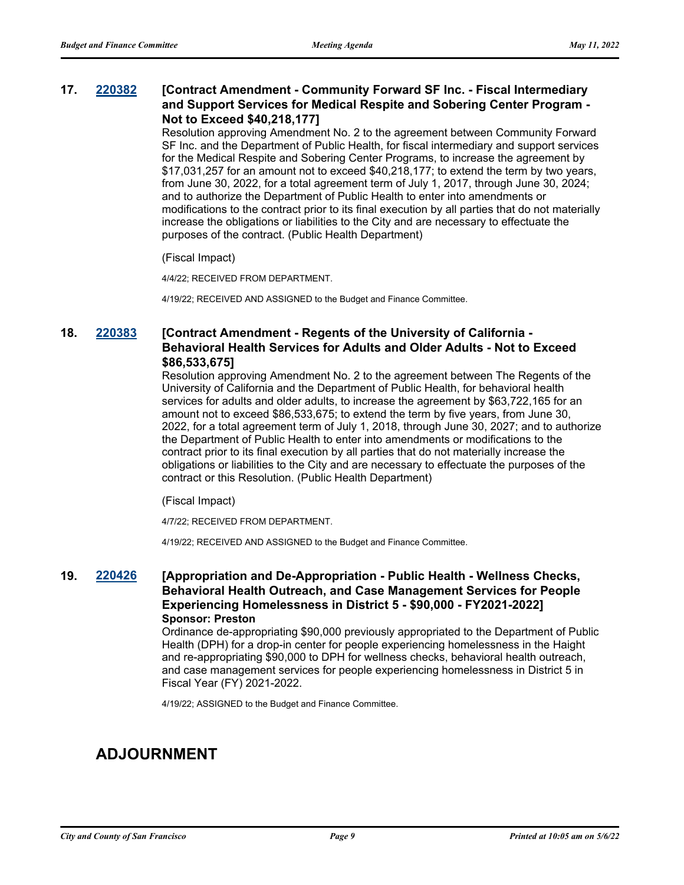### **17. [220382](http://sfgov.legistar.com/gateway.aspx?m=l&id=38574) [Contract Amendment - Community Forward SF Inc. - Fiscal Intermediary and Support Services for Medical Respite and Sobering Center Program - Not to Exceed \$40,218,177]**

Resolution approving Amendment No. 2 to the agreement between Community Forward SF Inc. and the Department of Public Health, for fiscal intermediary and support services for the Medical Respite and Sobering Center Programs, to increase the agreement by \$17,031,257 for an amount not to exceed \$40,218,177; to extend the term by two years, from June 30, 2022, for a total agreement term of July 1, 2017, through June 30, 2024; and to authorize the Department of Public Health to enter into amendments or modifications to the contract prior to its final execution by all parties that do not materially increase the obligations or liabilities to the City and are necessary to effectuate the purposes of the contract. (Public Health Department)

(Fiscal Impact)

4/4/22; RECEIVED FROM DEPARTMENT.

4/19/22; RECEIVED AND ASSIGNED to the Budget and Finance Committee.

### **18. [220383](http://sfgov.legistar.com/gateway.aspx?m=l&id=38575) [Contract Amendment - Regents of the University of California - Behavioral Health Services for Adults and Older Adults - Not to Exceed \$86,533,675]**

Resolution approving Amendment No. 2 to the agreement between The Regents of the University of California and the Department of Public Health, for behavioral health services for adults and older adults, to increase the agreement by \$63,722,165 for an amount not to exceed \$86,533,675; to extend the term by five years, from June 30, 2022, for a total agreement term of July 1, 2018, through June 30, 2027; and to authorize the Department of Public Health to enter into amendments or modifications to the contract prior to its final execution by all parties that do not materially increase the obligations or liabilities to the City and are necessary to effectuate the purposes of the contract or this Resolution. (Public Health Department)

#### (Fiscal Impact)

4/7/22; RECEIVED FROM DEPARTMENT.

4/19/22; RECEIVED AND ASSIGNED to the Budget and Finance Committee.

## **19. [220426](http://sfgov.legistar.com/gateway.aspx?m=l&id=38618) [Appropriation and De-Appropriation - Public Health - Wellness Checks, Behavioral Health Outreach, and Case Management Services for People Experiencing Homelessness in District 5 - \$90,000 - FY2021-2022] Sponsor: Preston**

Ordinance de-appropriating \$90,000 previously appropriated to the Department of Public Health (DPH) for a drop-in center for people experiencing homelessness in the Haight and re-appropriating \$90,000 to DPH for wellness checks, behavioral health outreach, and case management services for people experiencing homelessness in District 5 in Fiscal Year (FY) 2021-2022.

4/19/22; ASSIGNED to the Budget and Finance Committee.

# **ADJOURNMENT**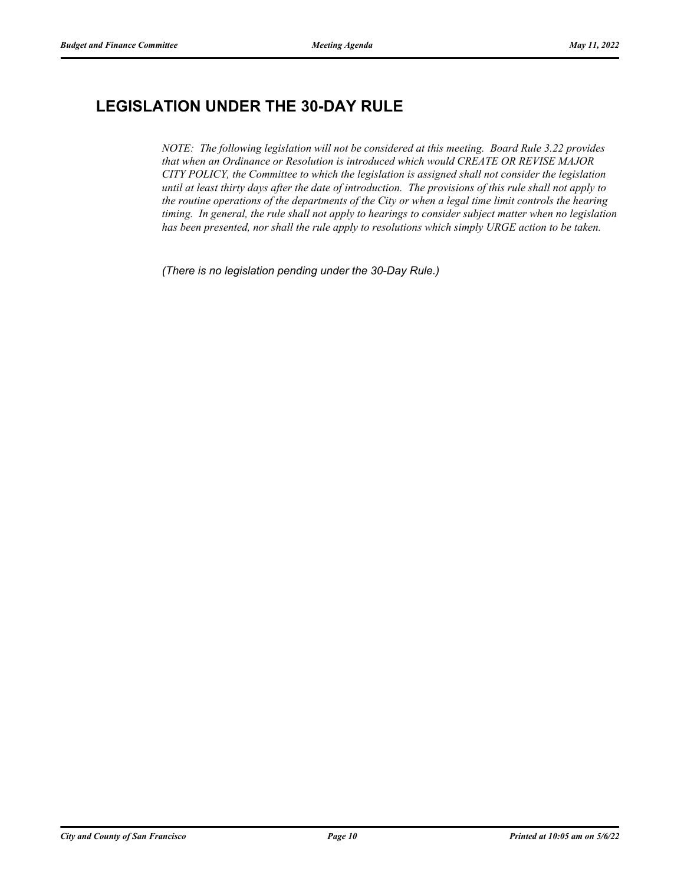# **LEGISLATION UNDER THE 30-DAY RULE**

*NOTE: The following legislation will not be considered at this meeting. Board Rule 3.22 provides that when an Ordinance or Resolution is introduced which would CREATE OR REVISE MAJOR CITY POLICY, the Committee to which the legislation is assigned shall not consider the legislation until at least thirty days after the date of introduction. The provisions of this rule shall not apply to the routine operations of the departments of the City or when a legal time limit controls the hearing timing. In general, the rule shall not apply to hearings to consider subject matter when no legislation has been presented, nor shall the rule apply to resolutions which simply URGE action to be taken.*

*(There is no legislation pending under the 30-Day Rule.)*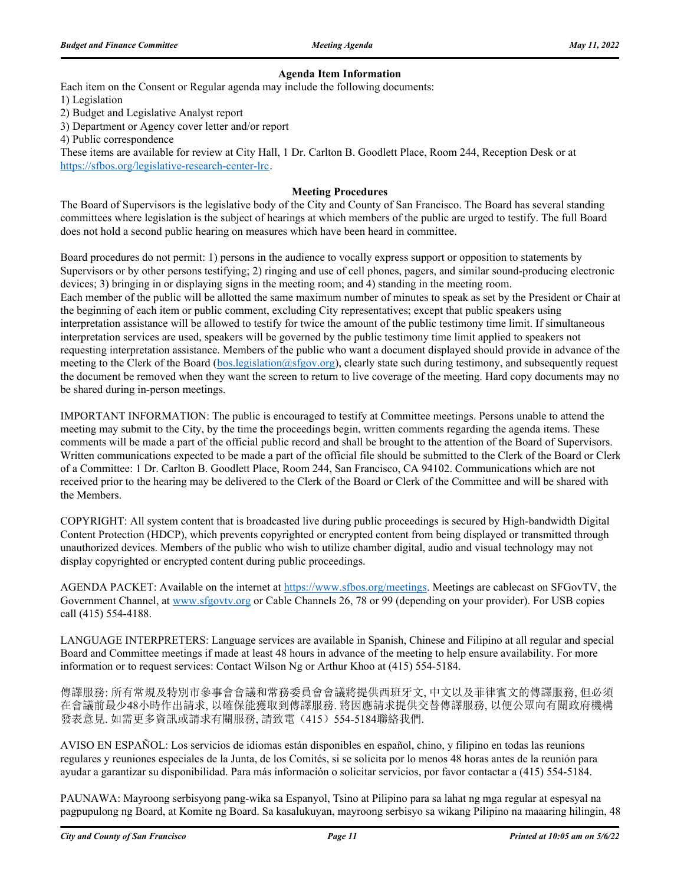### **Agenda Item Information**

Each item on the Consent or Regular agenda may include the following documents:

1) Legislation

2) Budget and Legislative Analyst report

3) Department or Agency cover letter and/or report

4) Public correspondence

These items are available for review at City Hall, 1 Dr. Carlton B. Goodlett Place, Room 244, Reception Desk or at https://sfbos.org/legislative-research-center-lrc.

### **Meeting Procedures**

The Board of Supervisors is the legislative body of the City and County of San Francisco. The Board has several standing committees where legislation is the subject of hearings at which members of the public are urged to testify. The full Board does not hold a second public hearing on measures which have been heard in committee.

Board procedures do not permit: 1) persons in the audience to vocally express support or opposition to statements by Supervisors or by other persons testifying; 2) ringing and use of cell phones, pagers, and similar sound-producing electronic devices; 3) bringing in or displaying signs in the meeting room; and 4) standing in the meeting room. Each member of the public will be allotted the same maximum number of minutes to speak as set by the President or Chair at the beginning of each item or public comment, excluding City representatives; except that public speakers using interpretation assistance will be allowed to testify for twice the amount of the public testimony time limit. If simultaneous interpretation services are used, speakers will be governed by the public testimony time limit applied to speakers not requesting interpretation assistance. Members of the public who want a document displayed should provide in advance of the meeting to the Clerk of the Board (bos.legislation@sfgov.org), clearly state such during testimony, and subsequently request the document be removed when they want the screen to return to live coverage of the meeting. Hard copy documents may no be shared during in-person meetings.

IMPORTANT INFORMATION: The public is encouraged to testify at Committee meetings. Persons unable to attend the meeting may submit to the City, by the time the proceedings begin, written comments regarding the agenda items. These comments will be made a part of the official public record and shall be brought to the attention of the Board of Supervisors. Written communications expected to be made a part of the official file should be submitted to the Clerk of the Board or Clerk of a Committee: 1 Dr. Carlton B. Goodlett Place, Room 244, San Francisco, CA 94102. Communications which are not received prior to the hearing may be delivered to the Clerk of the Board or Clerk of the Committee and will be shared with the Members.

COPYRIGHT: All system content that is broadcasted live during public proceedings is secured by High-bandwidth Digital Content Protection (HDCP), which prevents copyrighted or encrypted content from being displayed or transmitted through unauthorized devices. Members of the public who wish to utilize chamber digital, audio and visual technology may not display copyrighted or encrypted content during public proceedings.

AGENDA PACKET: Available on the internet at https://www.sfbos.org/meetings. Meetings are cablecast on SFGovTV, the Government Channel, at www.sfgovtv.org or Cable Channels 26, 78 or 99 (depending on your provider). For USB copies call (415) 554-4188.

LANGUAGE INTERPRETERS: Language services are available in Spanish, Chinese and Filipino at all regular and special Board and Committee meetings if made at least 48 hours in advance of the meeting to help ensure availability. For more information or to request services: Contact Wilson Ng or Arthur Khoo at (415) 554-5184.

傳譯服務: 所有常規及特別市參事會會議和常務委員會會議將提供西班牙文, 中文以及菲律賓文的傳譯服務, 但必須 在會議前最少48小時作出請求, 以確保能獲取到傳譯服務. 將因應請求提供交替傳譯服務, 以便公眾向有關政府機構 發表意見. 如需更多資訊或請求有關服務, 請致電(415) 554-5184聯絡我們.

AVISO EN ESPAÑOL: Los servicios de idiomas están disponibles en español, chino, y filipino en todas las reunions regulares y reuniones especiales de la Junta, de los Comités, si se solicita por lo menos 48 horas antes de la reunión para ayudar a garantizar su disponibilidad. Para más información o solicitar servicios, por favor contactar a (415) 554-5184.

PAUNAWA: Mayroong serbisyong pang-wika sa Espanyol, Tsino at Pilipino para sa lahat ng mga regular at espesyal na pagpupulong ng Board, at Komite ng Board. Sa kasalukuyan, mayroong serbisyo sa wikang Pilipino na maaaring hilingin, 48